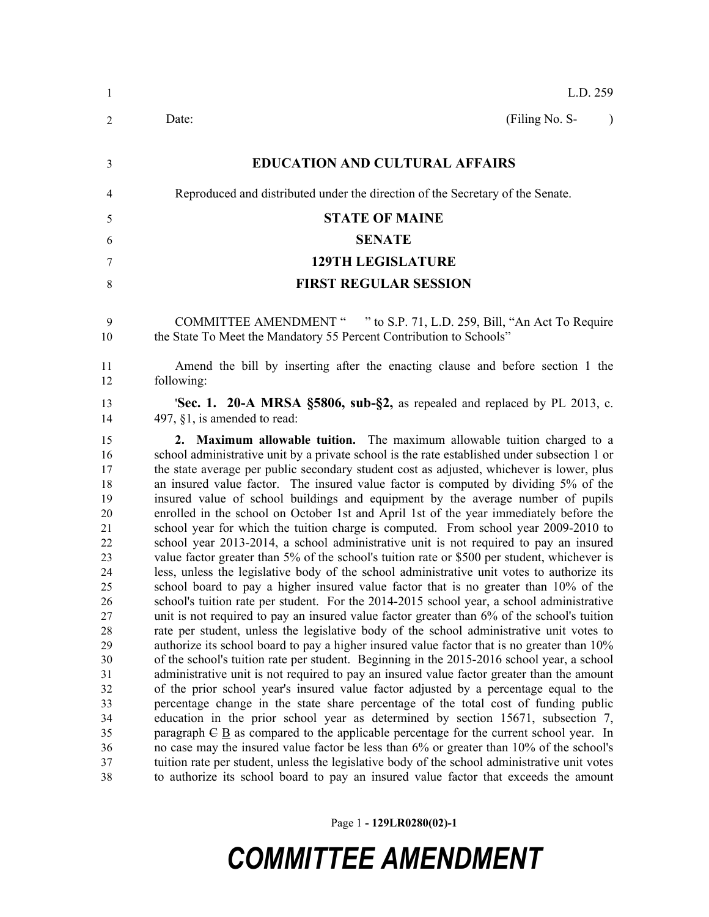| $\mathbf{1}$                                                                                                                                 | L.D. 259                                                                                                                                                                                                                                                                                                                                                                                                                                                                                                                                                                                                                                                                                                                                                                                                                                                                                                                                                                                                                                                                                                                                                                                                                                                                                                                                                                                                                                                                                                                                                                                                                                                                                                                                                                                                                                                                                                                                                                                                                                                                                                                                                                                                                                                                |  |  |  |  |
|----------------------------------------------------------------------------------------------------------------------------------------------|-------------------------------------------------------------------------------------------------------------------------------------------------------------------------------------------------------------------------------------------------------------------------------------------------------------------------------------------------------------------------------------------------------------------------------------------------------------------------------------------------------------------------------------------------------------------------------------------------------------------------------------------------------------------------------------------------------------------------------------------------------------------------------------------------------------------------------------------------------------------------------------------------------------------------------------------------------------------------------------------------------------------------------------------------------------------------------------------------------------------------------------------------------------------------------------------------------------------------------------------------------------------------------------------------------------------------------------------------------------------------------------------------------------------------------------------------------------------------------------------------------------------------------------------------------------------------------------------------------------------------------------------------------------------------------------------------------------------------------------------------------------------------------------------------------------------------------------------------------------------------------------------------------------------------------------------------------------------------------------------------------------------------------------------------------------------------------------------------------------------------------------------------------------------------------------------------------------------------------------------------------------------------|--|--|--|--|
| 2                                                                                                                                            | (Filing No. S-<br>Date:<br>$\lambda$                                                                                                                                                                                                                                                                                                                                                                                                                                                                                                                                                                                                                                                                                                                                                                                                                                                                                                                                                                                                                                                                                                                                                                                                                                                                                                                                                                                                                                                                                                                                                                                                                                                                                                                                                                                                                                                                                                                                                                                                                                                                                                                                                                                                                                    |  |  |  |  |
| 3                                                                                                                                            | <b>EDUCATION AND CULTURAL AFFAIRS</b>                                                                                                                                                                                                                                                                                                                                                                                                                                                                                                                                                                                                                                                                                                                                                                                                                                                                                                                                                                                                                                                                                                                                                                                                                                                                                                                                                                                                                                                                                                                                                                                                                                                                                                                                                                                                                                                                                                                                                                                                                                                                                                                                                                                                                                   |  |  |  |  |
| 4                                                                                                                                            | Reproduced and distributed under the direction of the Secretary of the Senate.                                                                                                                                                                                                                                                                                                                                                                                                                                                                                                                                                                                                                                                                                                                                                                                                                                                                                                                                                                                                                                                                                                                                                                                                                                                                                                                                                                                                                                                                                                                                                                                                                                                                                                                                                                                                                                                                                                                                                                                                                                                                                                                                                                                          |  |  |  |  |
| 5                                                                                                                                            | <b>STATE OF MAINE</b>                                                                                                                                                                                                                                                                                                                                                                                                                                                                                                                                                                                                                                                                                                                                                                                                                                                                                                                                                                                                                                                                                                                                                                                                                                                                                                                                                                                                                                                                                                                                                                                                                                                                                                                                                                                                                                                                                                                                                                                                                                                                                                                                                                                                                                                   |  |  |  |  |
| 6                                                                                                                                            | <b>SENATE</b>                                                                                                                                                                                                                                                                                                                                                                                                                                                                                                                                                                                                                                                                                                                                                                                                                                                                                                                                                                                                                                                                                                                                                                                                                                                                                                                                                                                                                                                                                                                                                                                                                                                                                                                                                                                                                                                                                                                                                                                                                                                                                                                                                                                                                                                           |  |  |  |  |
| 7                                                                                                                                            | <b>129TH LEGISLATURE</b>                                                                                                                                                                                                                                                                                                                                                                                                                                                                                                                                                                                                                                                                                                                                                                                                                                                                                                                                                                                                                                                                                                                                                                                                                                                                                                                                                                                                                                                                                                                                                                                                                                                                                                                                                                                                                                                                                                                                                                                                                                                                                                                                                                                                                                                |  |  |  |  |
| $\,8\,$                                                                                                                                      | <b>FIRST REGULAR SESSION</b>                                                                                                                                                                                                                                                                                                                                                                                                                                                                                                                                                                                                                                                                                                                                                                                                                                                                                                                                                                                                                                                                                                                                                                                                                                                                                                                                                                                                                                                                                                                                                                                                                                                                                                                                                                                                                                                                                                                                                                                                                                                                                                                                                                                                                                            |  |  |  |  |
| 9<br>10                                                                                                                                      | COMMITTEE AMENDMENT " " to S.P. 71, L.D. 259, Bill, "An Act To Require<br>the State To Meet the Mandatory 55 Percent Contribution to Schools"                                                                                                                                                                                                                                                                                                                                                                                                                                                                                                                                                                                                                                                                                                                                                                                                                                                                                                                                                                                                                                                                                                                                                                                                                                                                                                                                                                                                                                                                                                                                                                                                                                                                                                                                                                                                                                                                                                                                                                                                                                                                                                                           |  |  |  |  |
| 11<br>12                                                                                                                                     | Amend the bill by inserting after the enacting clause and before section 1 the<br>following:                                                                                                                                                                                                                                                                                                                                                                                                                                                                                                                                                                                                                                                                                                                                                                                                                                                                                                                                                                                                                                                                                                                                                                                                                                                                                                                                                                                                                                                                                                                                                                                                                                                                                                                                                                                                                                                                                                                                                                                                                                                                                                                                                                            |  |  |  |  |
| 13<br>14                                                                                                                                     | 'Sec. 1. 20-A MRSA §5806, sub-§2, as repealed and replaced by PL 2013, c.<br>497, $§1$ , is amended to read:                                                                                                                                                                                                                                                                                                                                                                                                                                                                                                                                                                                                                                                                                                                                                                                                                                                                                                                                                                                                                                                                                                                                                                                                                                                                                                                                                                                                                                                                                                                                                                                                                                                                                                                                                                                                                                                                                                                                                                                                                                                                                                                                                            |  |  |  |  |
| 15<br>16<br>17<br>18<br>19<br>20<br>21<br>22<br>23<br>24<br>25<br>26<br>27<br>28<br>29<br>30<br>31<br>32<br>33<br>34<br>35<br>36<br>37<br>38 | 2. Maximum allowable tuition. The maximum allowable tuition charged to a<br>school administrative unit by a private school is the rate established under subsection 1 or<br>the state average per public secondary student cost as adjusted, whichever is lower, plus<br>an insured value factor. The insured value factor is computed by dividing 5% of the<br>insured value of school buildings and equipment by the average number of pupils<br>enrolled in the school on October 1st and April 1st of the year immediately before the<br>school year for which the tuition charge is computed. From school year 2009-2010 to<br>school year 2013-2014, a school administrative unit is not required to pay an insured<br>value factor greater than 5% of the school's tuition rate or \$500 per student, whichever is<br>less, unless the legislative body of the school administrative unit votes to authorize its<br>school board to pay a higher insured value factor that is no greater than 10% of the<br>school's tuition rate per student. For the 2014-2015 school year, a school administrative<br>unit is not required to pay an insured value factor greater than 6% of the school's tuition<br>rate per student, unless the legislative body of the school administrative unit votes to<br>authorize its school board to pay a higher insured value factor that is no greater than 10%<br>of the school's tuition rate per student. Beginning in the 2015-2016 school year, a school<br>administrative unit is not required to pay an insured value factor greater than the amount<br>of the prior school year's insured value factor adjusted by a percentage equal to the<br>percentage change in the state share percentage of the total cost of funding public<br>education in the prior school year as determined by section 15671, subsection 7,<br>paragraph $\in$ $\underline{B}$ as compared to the applicable percentage for the current school year. In<br>no case may the insured value factor be less than 6% or greater than 10% of the school's<br>tuition rate per student, unless the legislative body of the school administrative unit votes<br>to authorize its school board to pay an insured value factor that exceeds the amount |  |  |  |  |

Page 1 **- 129LR0280(02)-1**

## *COMMITTEE AMENDMENT*